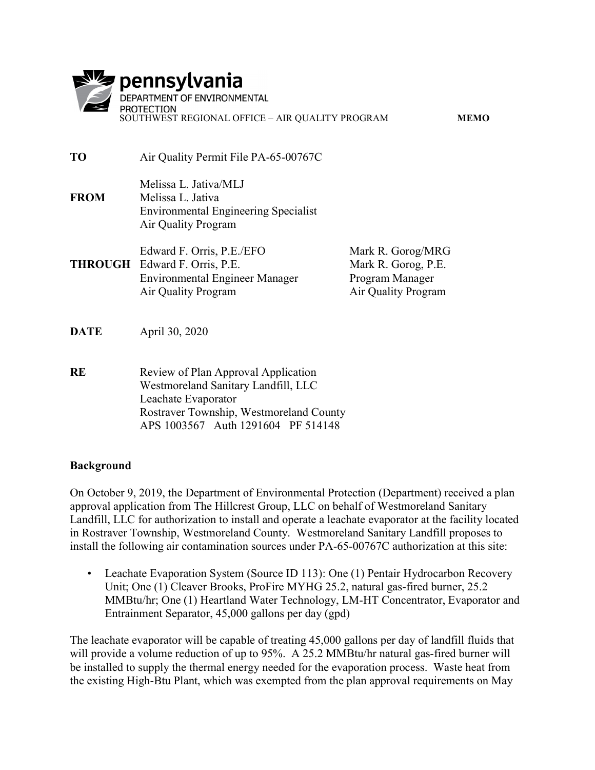|             | pennsylvania<br>DEPARTMENT OF ENVIRONMENTAL<br><b>PROTECTION</b><br>SOUTHWEST REGIONAL OFFICE - AIR QUALITY PROGRAM                                                                |                                                                                    | <b>MEMO</b> |
|-------------|------------------------------------------------------------------------------------------------------------------------------------------------------------------------------------|------------------------------------------------------------------------------------|-------------|
| <b>TO</b>   | Air Quality Permit File PA-65-00767C                                                                                                                                               |                                                                                    |             |
| <b>FROM</b> | Melissa L. Jativa/MLJ<br>Melissa L. Jativa<br><b>Environmental Engineering Specialist</b><br>Air Quality Program                                                                   |                                                                                    |             |
|             | Edward F. Orris, P.E./EFO<br><b>THROUGH</b> Edward F. Orris, P.E.<br><b>Environmental Engineer Manager</b><br>Air Quality Program                                                  | Mark R. Gorog/MRG<br>Mark R. Gorog, P.E.<br>Program Manager<br>Air Quality Program |             |
| <b>DATE</b> | April 30, 2020                                                                                                                                                                     |                                                                                    |             |
| <b>RE</b>   | Review of Plan Approval Application<br>Westmoreland Sanitary Landfill, LLC<br>Leachate Evaporator<br>Rostraver Township, Westmoreland County<br>APS 1003567 Auth 1291604 PF 514148 |                                                                                    |             |

# Background

On October 9, 2019, the Department of Environmental Protection (Department) received a plan approval application from The Hillcrest Group, LLC on behalf of Westmoreland Sanitary Landfill, LLC for authorization to install and operate a leachate evaporator at the facility located in Rostraver Township, Westmoreland County. Westmoreland Sanitary Landfill proposes to install the following air contamination sources under PA-65-00767C authorization at this site:

• Leachate Evaporation System (Source ID 113): One (1) Pentair Hydrocarbon Recovery Unit; One (1) Cleaver Brooks, ProFire MYHG 25.2, natural gas-fired burner, 25.2 MMBtu/hr; One (1) Heartland Water Technology, LM-HT Concentrator, Evaporator and Entrainment Separator, 45,000 gallons per day (gpd)

The leachate evaporator will be capable of treating 45,000 gallons per day of landfill fluids that will provide a volume reduction of up to 95%. A 25.2 MMBtu/hr natural gas-fired burner will be installed to supply the thermal energy needed for the evaporation process. Waste heat from the existing High-Btu Plant, which was exempted from the plan approval requirements on May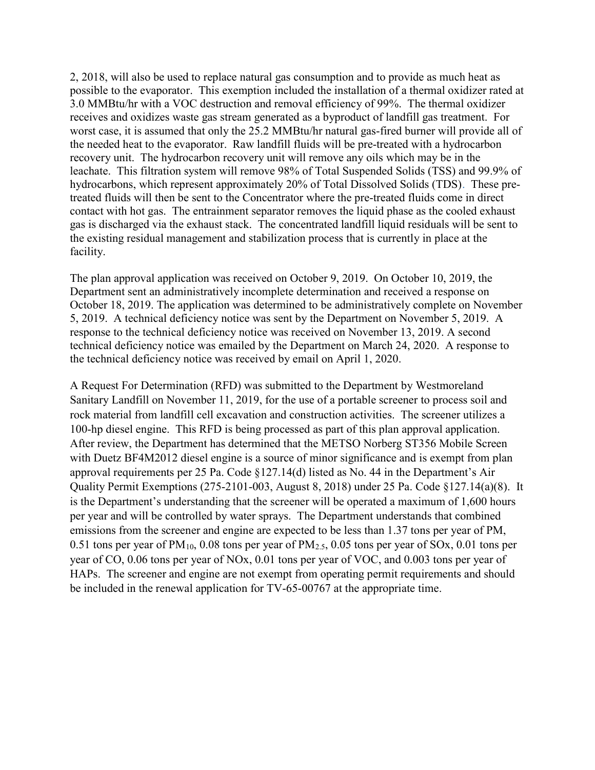2, 2018, will also be used to replace natural gas consumption and to provide as much heat as possible to the evaporator. This exemption included the installation of a thermal oxidizer rated at 3.0 MMBtu/hr with a VOC destruction and removal efficiency of 99%. The thermal oxidizer receives and oxidizes waste gas stream generated as a byproduct of landfill gas treatment. For worst case, it is assumed that only the 25.2 MMBtu/hr natural gas-fired burner will provide all of the needed heat to the evaporator. Raw landfill fluids will be pre-treated with a hydrocarbon recovery unit. The hydrocarbon recovery unit will remove any oils which may be in the leachate. This filtration system will remove 98% of Total Suspended Solids (TSS) and 99.9% of hydrocarbons, which represent approximately 20% of Total Dissolved Solids (TDS). These pretreated fluids will then be sent to the Concentrator where the pre-treated fluids come in direct contact with hot gas. The entrainment separator removes the liquid phase as the cooled exhaust gas is discharged via the exhaust stack. The concentrated landfill liquid residuals will be sent to the existing residual management and stabilization process that is currently in place at the facility.

The plan approval application was received on October 9, 2019. On October 10, 2019, the Department sent an administratively incomplete determination and received a response on October 18, 2019. The application was determined to be administratively complete on November 5, 2019. A technical deficiency notice was sent by the Department on November 5, 2019. A response to the technical deficiency notice was received on November 13, 2019. A second technical deficiency notice was emailed by the Department on March 24, 2020. A response to the technical deficiency notice was received by email on April 1, 2020.

A Request For Determination (RFD) was submitted to the Department by Westmoreland Sanitary Landfill on November 11, 2019, for the use of a portable screener to process soil and rock material from landfill cell excavation and construction activities. The screener utilizes a 100-hp diesel engine. This RFD is being processed as part of this plan approval application. After review, the Department has determined that the METSO Norberg ST356 Mobile Screen with Duetz BF4M2012 diesel engine is a source of minor significance and is exempt from plan approval requirements per 25 Pa. Code §127.14(d) listed as No. 44 in the Department's Air Quality Permit Exemptions (275-2101-003, August 8, 2018) under 25 Pa. Code §127.14(a)(8). It is the Department's understanding that the screener will be operated a maximum of 1,600 hours per year and will be controlled by water sprays. The Department understands that combined emissions from the screener and engine are expected to be less than 1.37 tons per year of PM, 0.51 tons per year of  $PM_{10}$ , 0.08 tons per year of  $PM_{2.5}$ , 0.05 tons per year of SOx, 0.01 tons per year of CO, 0.06 tons per year of NOx, 0.01 tons per year of VOC, and 0.003 tons per year of HAPs. The screener and engine are not exempt from operating permit requirements and should be included in the renewal application for TV-65-00767 at the appropriate time.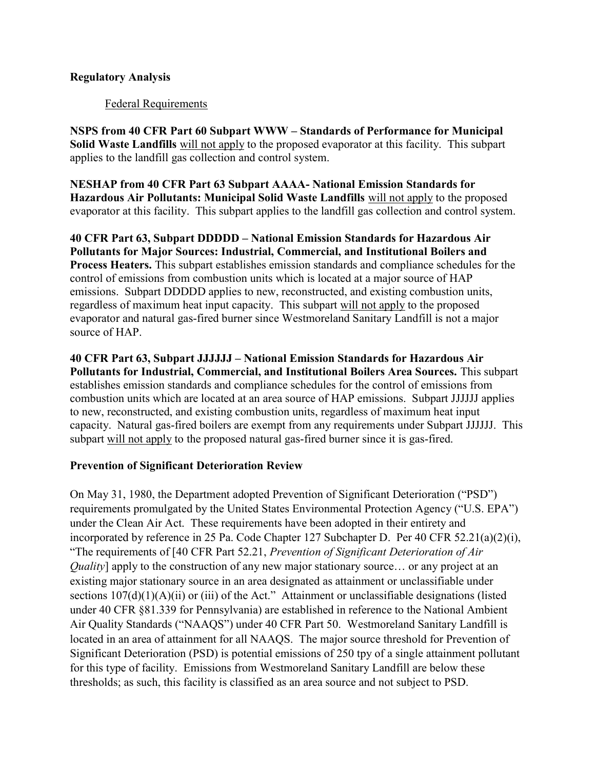# Regulatory Analysis

### Federal Requirements

NSPS from 40 CFR Part 60 Subpart WWW – Standards of Performance for Municipal Solid Waste Landfills will not apply to the proposed evaporator at this facility. This subpart applies to the landfill gas collection and control system.

NESHAP from 40 CFR Part 63 Subpart AAAA- National Emission Standards for Hazardous Air Pollutants: Municipal Solid Waste Landfills will not apply to the proposed evaporator at this facility. This subpart applies to the landfill gas collection and control system.

40 CFR Part 63, Subpart DDDDD – National Emission Standards for Hazardous Air Pollutants for Major Sources: Industrial, Commercial, and Institutional Boilers and Process Heaters. This subpart establishes emission standards and compliance schedules for the control of emissions from combustion units which is located at a major source of HAP emissions. Subpart DDDDD applies to new, reconstructed, and existing combustion units, regardless of maximum heat input capacity. This subpart will not apply to the proposed evaporator and natural gas-fired burner since Westmoreland Sanitary Landfill is not a major source of HAP.

40 CFR Part 63, Subpart JJJJJJ – National Emission Standards for Hazardous Air Pollutants for Industrial, Commercial, and Institutional Boilers Area Sources. This subpart establishes emission standards and compliance schedules for the control of emissions from combustion units which are located at an area source of HAP emissions. Subpart JJJJJJ applies to new, reconstructed, and existing combustion units, regardless of maximum heat input capacity. Natural gas-fired boilers are exempt from any requirements under Subpart JJJJJJ. This subpart will not apply to the proposed natural gas-fired burner since it is gas-fired.

# Prevention of Significant Deterioration Review

On May 31, 1980, the Department adopted Prevention of Significant Deterioration ("PSD") requirements promulgated by the United States Environmental Protection Agency ("U.S. EPA") under the Clean Air Act. These requirements have been adopted in their entirety and incorporated by reference in 25 Pa. Code Chapter 127 Subchapter D. Per 40 CFR 52.21(a)(2)(i), "The requirements of [40 CFR Part 52.21, Prevention of Significant Deterioration of Air Quality] apply to the construction of any new major stationary source… or any project at an existing major stationary source in an area designated as attainment or unclassifiable under sections  $107(d)(1)(A)(ii)$  or (iii) of the Act." Attainment or unclassifiable designations (listed under 40 CFR §81.339 for Pennsylvania) are established in reference to the National Ambient Air Quality Standards ("NAAQS") under 40 CFR Part 50. Westmoreland Sanitary Landfill is located in an area of attainment for all NAAQS. The major source threshold for Prevention of Significant Deterioration (PSD) is potential emissions of 250 tpy of a single attainment pollutant for this type of facility. Emissions from Westmoreland Sanitary Landfill are below these thresholds; as such, this facility is classified as an area source and not subject to PSD.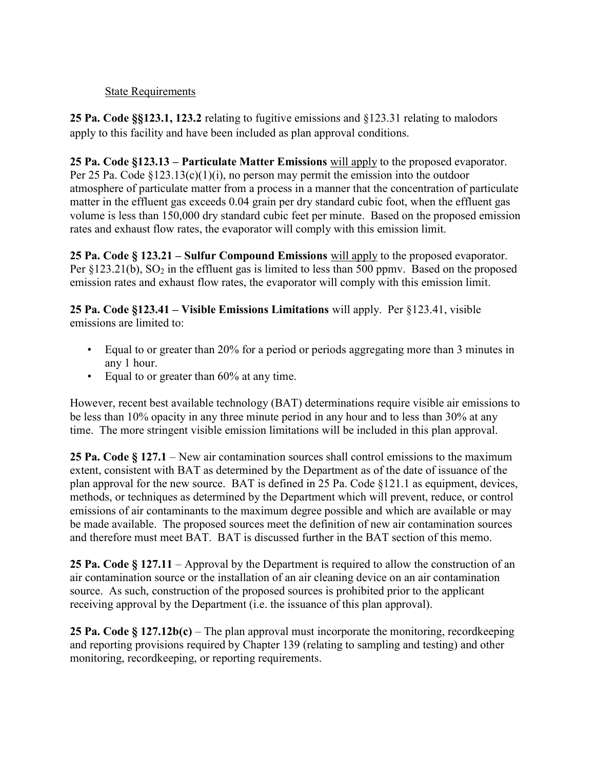### State Requirements

25 Pa. Code §§123.1, 123.2 relating to fugitive emissions and §123.31 relating to malodors apply to this facility and have been included as plan approval conditions.

25 Pa. Code §123.13 – Particulate Matter Emissions will apply to the proposed evaporator. Per 25 Pa. Code  $\S 123.13(c)(1)(i)$ , no person may permit the emission into the outdoor atmosphere of particulate matter from a process in a manner that the concentration of particulate matter in the effluent gas exceeds 0.04 grain per dry standard cubic foot, when the effluent gas volume is less than 150,000 dry standard cubic feet per minute. Based on the proposed emission rates and exhaust flow rates, the evaporator will comply with this emission limit.

25 Pa. Code  $\S 123.21$  – Sulfur Compound Emissions will apply to the proposed evaporator. Per  $\S 123.21(b)$ , SO<sub>2</sub> in the effluent gas is limited to less than 500 ppmv. Based on the proposed emission rates and exhaust flow rates, the evaporator will comply with this emission limit.

25 Pa. Code §123.41 – Visible Emissions Limitations will apply. Per §123.41, visible emissions are limited to:

- Equal to or greater than 20% for a period or periods aggregating more than 3 minutes in any 1 hour.
- Equal to or greater than 60% at any time.

However, recent best available technology (BAT) determinations require visible air emissions to be less than 10% opacity in any three minute period in any hour and to less than 30% at any time. The more stringent visible emission limitations will be included in this plan approval.

25 Pa. Code § 127.1 – New air contamination sources shall control emissions to the maximum extent, consistent with BAT as determined by the Department as of the date of issuance of the plan approval for the new source. BAT is defined in 25 Pa. Code §121.1 as equipment, devices, methods, or techniques as determined by the Department which will prevent, reduce, or control emissions of air contaminants to the maximum degree possible and which are available or may be made available. The proposed sources meet the definition of new air contamination sources and therefore must meet BAT. BAT is discussed further in the BAT section of this memo.

25 Pa. Code § 127.11 – Approval by the Department is required to allow the construction of an air contamination source or the installation of an air cleaning device on an air contamination source. As such, construction of the proposed sources is prohibited prior to the applicant receiving approval by the Department (i.e. the issuance of this plan approval).

25 Pa. Code  $\S 127.12b(c)$  – The plan approval must incorporate the monitoring, record keeping and reporting provisions required by Chapter 139 (relating to sampling and testing) and other monitoring, recordkeeping, or reporting requirements.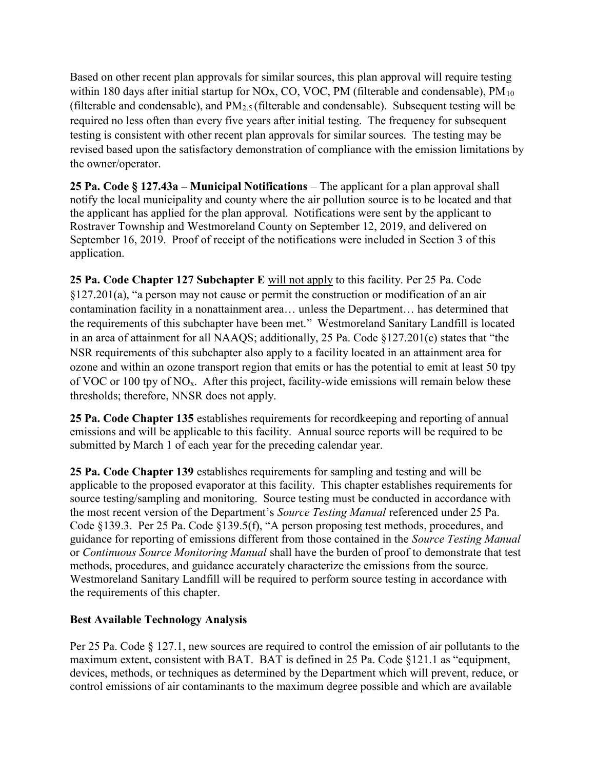Based on other recent plan approvals for similar sources, this plan approval will require testing within 180 days after initial startup for NOx, CO, VOC, PM (filterable and condensable),  $PM_{10}$ (filterable and condensable), and  $PM_{2.5}$  (filterable and condensable). Subsequent testing will be required no less often than every five years after initial testing. The frequency for subsequent testing is consistent with other recent plan approvals for similar sources. The testing may be revised based upon the satisfactory demonstration of compliance with the emission limitations by the owner/operator.

25 Pa. Code § 127.43a – Municipal Notifications – The applicant for a plan approval shall notify the local municipality and county where the air pollution source is to be located and that the applicant has applied for the plan approval. Notifications were sent by the applicant to Rostraver Township and Westmoreland County on September 12, 2019, and delivered on September 16, 2019. Proof of receipt of the notifications were included in Section 3 of this application.

25 Pa. Code Chapter 127 Subchapter E will not apply to this facility. Per 25 Pa. Code §127.201(a), "a person may not cause or permit the construction or modification of an air contamination facility in a nonattainment area… unless the Department… has determined that the requirements of this subchapter have been met." Westmoreland Sanitary Landfill is located in an area of attainment for all NAAQS; additionally, 25 Pa. Code §127.201(c) states that "the NSR requirements of this subchapter also apply to a facility located in an attainment area for ozone and within an ozone transport region that emits or has the potential to emit at least 50 tpy of VOC or 100 tpy of NOx. After this project, facility-wide emissions will remain below these thresholds; therefore, NNSR does not apply.

25 Pa. Code Chapter 135 establishes requirements for recordkeeping and reporting of annual emissions and will be applicable to this facility. Annual source reports will be required to be submitted by March 1 of each year for the preceding calendar year.

25 Pa. Code Chapter 139 establishes requirements for sampling and testing and will be applicable to the proposed evaporator at this facility. This chapter establishes requirements for source testing/sampling and monitoring. Source testing must be conducted in accordance with the most recent version of the Department's Source Testing Manual referenced under 25 Pa. Code §139.3. Per 25 Pa. Code §139.5(f), "A person proposing test methods, procedures, and guidance for reporting of emissions different from those contained in the Source Testing Manual or Continuous Source Monitoring Manual shall have the burden of proof to demonstrate that test methods, procedures, and guidance accurately characterize the emissions from the source. Westmoreland Sanitary Landfill will be required to perform source testing in accordance with the requirements of this chapter.

# Best Available Technology Analysis

Per 25 Pa. Code § 127.1, new sources are required to control the emission of air pollutants to the maximum extent, consistent with BAT. BAT is defined in 25 Pa. Code §121.1 as "equipment, devices, methods, or techniques as determined by the Department which will prevent, reduce, or control emissions of air contaminants to the maximum degree possible and which are available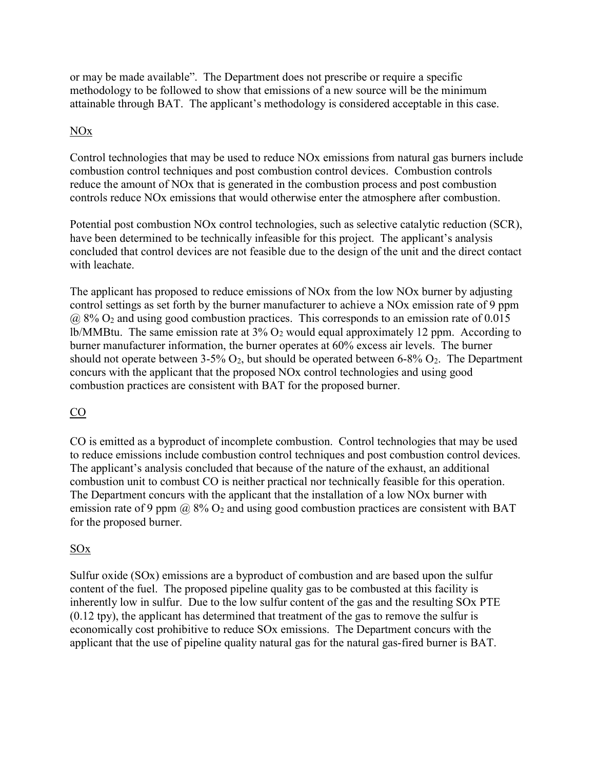or may be made available". The Department does not prescribe or require a specific methodology to be followed to show that emissions of a new source will be the minimum attainable through BAT. The applicant's methodology is considered acceptable in this case.

# NOx

Control technologies that may be used to reduce NOx emissions from natural gas burners include combustion control techniques and post combustion control devices. Combustion controls reduce the amount of NOx that is generated in the combustion process and post combustion controls reduce NOx emissions that would otherwise enter the atmosphere after combustion.

Potential post combustion NOx control technologies, such as selective catalytic reduction (SCR), have been determined to be technically infeasible for this project. The applicant's analysis concluded that control devices are not feasible due to the design of the unit and the direct contact with leachate.

The applicant has proposed to reduce emissions of NOx from the low NOx burner by adjusting control settings as set forth by the burner manufacturer to achieve a NOx emission rate of 9 ppm  $\omega$  8% O<sub>2</sub> and using good combustion practices. This corresponds to an emission rate of 0.015 lb/MMBtu. The same emission rate at  $3\%$  O<sub>2</sub> would equal approximately 12 ppm. According to burner manufacturer information, the burner operates at 60% excess air levels. The burner should not operate between 3-5%  $O_2$ , but should be operated between 6-8%  $O_2$ . The Department concurs with the applicant that the proposed NOx control technologies and using good combustion practices are consistent with BAT for the proposed burner.

# CO

CO is emitted as a byproduct of incomplete combustion. Control technologies that may be used to reduce emissions include combustion control techniques and post combustion control devices. The applicant's analysis concluded that because of the nature of the exhaust, an additional combustion unit to combust CO is neither practical nor technically feasible for this operation. The Department concurs with the applicant that the installation of a low NOx burner with emission rate of 9 ppm  $\omega$  8%  $O_2$  and using good combustion practices are consistent with BAT for the proposed burner.

# SOx

Sulfur oxide (SOx) emissions are a byproduct of combustion and are based upon the sulfur content of the fuel. The proposed pipeline quality gas to be combusted at this facility is inherently low in sulfur. Due to the low sulfur content of the gas and the resulting SOx PTE (0.12 tpy), the applicant has determined that treatment of the gas to remove the sulfur is economically cost prohibitive to reduce SOx emissions. The Department concurs with the applicant that the use of pipeline quality natural gas for the natural gas-fired burner is BAT.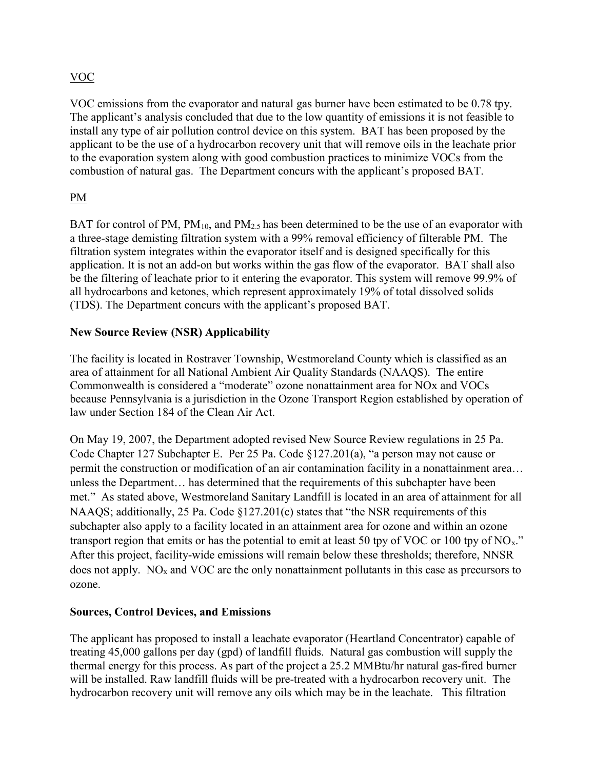# VOC

VOC emissions from the evaporator and natural gas burner have been estimated to be 0.78 tpy. The applicant's analysis concluded that due to the low quantity of emissions it is not feasible to install any type of air pollution control device on this system. BAT has been proposed by the applicant to be the use of a hydrocarbon recovery unit that will remove oils in the leachate prior to the evaporation system along with good combustion practices to minimize VOCs from the combustion of natural gas. The Department concurs with the applicant's proposed BAT.

# PM

BAT for control of PM,  $PM_{10}$ , and  $PM_{2.5}$  has been determined to be the use of an evaporator with a three-stage demisting filtration system with a 99% removal efficiency of filterable PM. The filtration system integrates within the evaporator itself and is designed specifically for this application. It is not an add-on but works within the gas flow of the evaporator. BAT shall also be the filtering of leachate prior to it entering the evaporator. This system will remove 99.9% of all hydrocarbons and ketones, which represent approximately 19% of total dissolved solids (TDS). The Department concurs with the applicant's proposed BAT.

# New Source Review (NSR) Applicability

The facility is located in Rostraver Township, Westmoreland County which is classified as an area of attainment for all National Ambient Air Quality Standards (NAAQS). The entire Commonwealth is considered a "moderate" ozone nonattainment area for NOx and VOCs because Pennsylvania is a jurisdiction in the Ozone Transport Region established by operation of law under Section 184 of the Clean Air Act.

On May 19, 2007, the Department adopted revised New Source Review regulations in 25 Pa. Code Chapter 127 Subchapter E. Per 25 Pa. Code §127.201(a), "a person may not cause or permit the construction or modification of an air contamination facility in a nonattainment area… unless the Department… has determined that the requirements of this subchapter have been met." As stated above, Westmoreland Sanitary Landfill is located in an area of attainment for all NAAQS; additionally, 25 Pa. Code §127.201(c) states that "the NSR requirements of this subchapter also apply to a facility located in an attainment area for ozone and within an ozone transport region that emits or has the potential to emit at least 50 tpy of VOC or 100 tpy of NO<sub>x</sub>." After this project, facility-wide emissions will remain below these thresholds; therefore, NNSR does not apply.  $NO<sub>x</sub>$  and VOC are the only nonattainment pollutants in this case as precursors to ozone.

# Sources, Control Devices, and Emissions

The applicant has proposed to install a leachate evaporator (Heartland Concentrator) capable of treating 45,000 gallons per day (gpd) of landfill fluids. Natural gas combustion will supply the thermal energy for this process. As part of the project a 25.2 MMBtu/hr natural gas-fired burner will be installed. Raw landfill fluids will be pre-treated with a hydrocarbon recovery unit. The hydrocarbon recovery unit will remove any oils which may be in the leachate. This filtration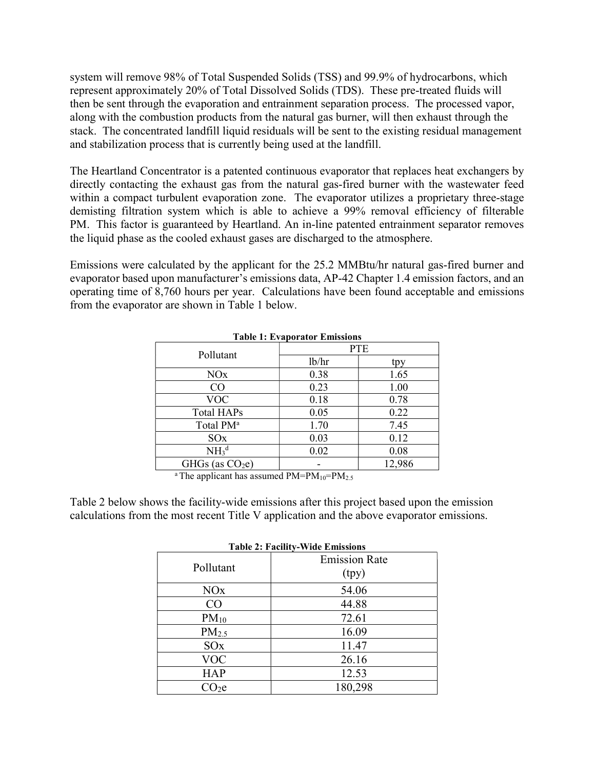system will remove 98% of Total Suspended Solids (TSS) and 99.9% of hydrocarbons, which represent approximately 20% of Total Dissolved Solids (TDS). These pre-treated fluids will then be sent through the evaporation and entrainment separation process. The processed vapor, along with the combustion products from the natural gas burner, will then exhaust through the stack. The concentrated landfill liquid residuals will be sent to the existing residual management and stabilization process that is currently being used at the landfill.

The Heartland Concentrator is a patented continuous evaporator that replaces heat exchangers by directly contacting the exhaust gas from the natural gas-fired burner with the wastewater feed within a compact turbulent evaporation zone. The evaporator utilizes a proprietary three-stage demisting filtration system which is able to achieve a 99% removal efficiency of filterable PM. This factor is guaranteed by Heartland. An in-line patented entrainment separator removes the liquid phase as the cooled exhaust gases are discharged to the atmosphere.

Emissions were calculated by the applicant for the 25.2 MMBtu/hr natural gas-fired burner and evaporator based upon manufacturer's emissions data, AP-42 Chapter 1.4 emission factors, and an operating time of 8,760 hours per year. Calculations have been found acceptable and emissions from the evaporator are shown in Table 1 below.

| <b>Table 1: Evaporator Emissions</b> |            |        |  |  |
|--------------------------------------|------------|--------|--|--|
|                                      | <b>PTE</b> |        |  |  |
| Pollutant                            | lb/hr      | tpy    |  |  |
| NOx                                  | 0.38       | 1.65   |  |  |
| CO                                   | 0.23       | 1.00   |  |  |
| <b>VOC</b>                           | 0.18       | 0.78   |  |  |
| <b>Total HAPs</b>                    | 0.05       | 0.22   |  |  |
| Total PM <sup>a</sup>                | 1.70       | 7.45   |  |  |
| SOx                                  | 0.03       | 0.12   |  |  |
| NH <sub>3</sub> <sup>d</sup>         | 0.02       | 0.08   |  |  |
| GHGs (as $CO2e$ )                    |            | 12,986 |  |  |

|  |  |  | ble 1: Evaporator Emissions |
|--|--|--|-----------------------------|
|--|--|--|-----------------------------|

<sup>a</sup>The applicant has assumed  $PM=PM_{10}=PM_{2.5}$ 

Table 2 below shows the facility-wide emissions after this project based upon the emission calculations from the most recent Title V application and the above evaporator emissions.

| <b>Table 2: Facility-Wide Emissions</b> |                      |  |  |  |
|-----------------------------------------|----------------------|--|--|--|
|                                         | <b>Emission Rate</b> |  |  |  |
| Pollutant                               | (tpy)                |  |  |  |
| <b>NO<sub>x</sub></b>                   | 54.06                |  |  |  |
| CO                                      | 44.88                |  |  |  |
| $PM_{10}$                               | 72.61                |  |  |  |
| PM <sub>2.5</sub>                       | 16.09                |  |  |  |
| SOx                                     | 11.47                |  |  |  |
| <b>VOC</b>                              | 26.16                |  |  |  |
| <b>HAP</b>                              | 12.53                |  |  |  |
| CO <sub>2</sub> e                       | 180,298              |  |  |  |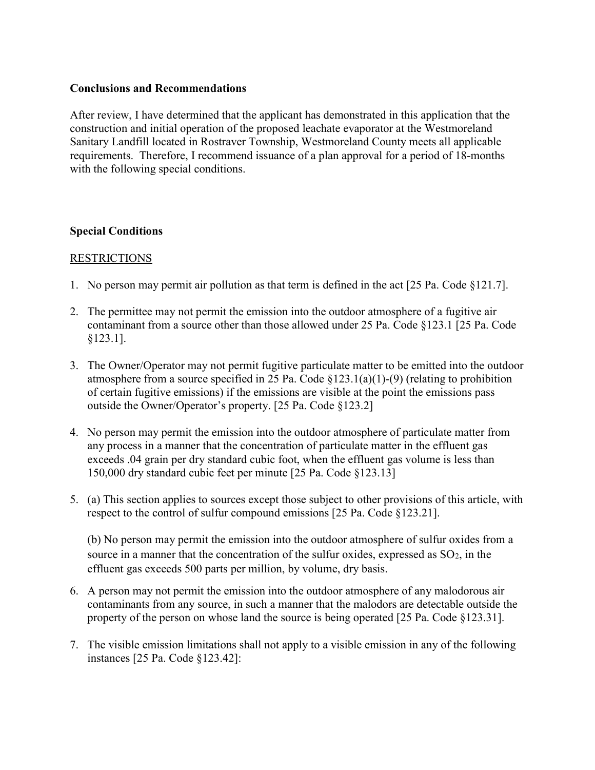### Conclusions and Recommendations

After review, I have determined that the applicant has demonstrated in this application that the construction and initial operation of the proposed leachate evaporator at the Westmoreland Sanitary Landfill located in Rostraver Township, Westmoreland County meets all applicable requirements. Therefore, I recommend issuance of a plan approval for a period of 18-months with the following special conditions.

### Special Conditions

### RESTRICTIONS

- 1. No person may permit air pollution as that term is defined in the act [25 Pa. Code §121.7].
- 2. The permittee may not permit the emission into the outdoor atmosphere of a fugitive air contaminant from a source other than those allowed under 25 Pa. Code §123.1 [25 Pa. Code §123.1].
- 3. The Owner/Operator may not permit fugitive particulate matter to be emitted into the outdoor atmosphere from a source specified in 25 Pa. Code  $\S 123.1(a)(1)$ -(9) (relating to prohibition of certain fugitive emissions) if the emissions are visible at the point the emissions pass outside the Owner/Operator's property. [25 Pa. Code §123.2]
- 4. No person may permit the emission into the outdoor atmosphere of particulate matter from any process in a manner that the concentration of particulate matter in the effluent gas exceeds .04 grain per dry standard cubic foot, when the effluent gas volume is less than 150,000 dry standard cubic feet per minute [25 Pa. Code §123.13]
- 5. (a) This section applies to sources except those subject to other provisions of this article, with respect to the control of sulfur compound emissions [25 Pa. Code §123.21].

(b) No person may permit the emission into the outdoor atmosphere of sulfur oxides from a source in a manner that the concentration of the sulfur oxides, expressed as  $SO_2$ , in the effluent gas exceeds 500 parts per million, by volume, dry basis.

- 6. A person may not permit the emission into the outdoor atmosphere of any malodorous air contaminants from any source, in such a manner that the malodors are detectable outside the property of the person on whose land the source is being operated [25 Pa. Code §123.31].
- 7. The visible emission limitations shall not apply to a visible emission in any of the following instances [25 Pa. Code §123.42]: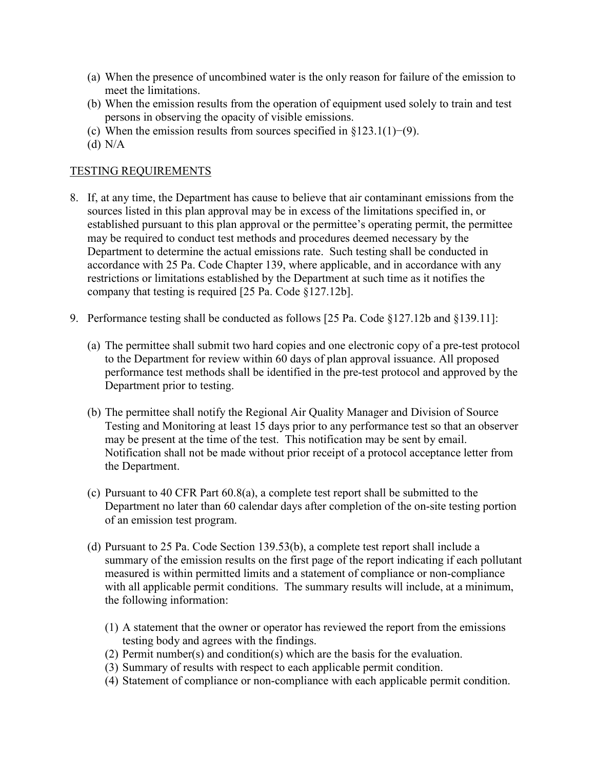- (a) When the presence of uncombined water is the only reason for failure of the emission to meet the limitations.
- (b) When the emission results from the operation of equipment used solely to train and test persons in observing the opacity of visible emissions.
- (c) When the emission results from sources specified in  $\S 123.1(1)–(9)$ .
- (d) N/A

### TESTING REQUIREMENTS

- 8. If, at any time, the Department has cause to believe that air contaminant emissions from the sources listed in this plan approval may be in excess of the limitations specified in, or established pursuant to this plan approval or the permittee's operating permit, the permittee may be required to conduct test methods and procedures deemed necessary by the Department to determine the actual emissions rate. Such testing shall be conducted in accordance with 25 Pa. Code Chapter 139, where applicable, and in accordance with any restrictions or limitations established by the Department at such time as it notifies the company that testing is required [25 Pa. Code §127.12b].
- 9. Performance testing shall be conducted as follows [25 Pa. Code §127.12b and §139.11]:
	- (a) The permittee shall submit two hard copies and one electronic copy of a pre-test protocol to the Department for review within 60 days of plan approval issuance. All proposed performance test methods shall be identified in the pre-test protocol and approved by the Department prior to testing.
	- (b) The permittee shall notify the Regional Air Quality Manager and Division of Source Testing and Monitoring at least 15 days prior to any performance test so that an observer may be present at the time of the test. This notification may be sent by email. Notification shall not be made without prior receipt of a protocol acceptance letter from the Department.
	- (c) Pursuant to 40 CFR Part 60.8(a), a complete test report shall be submitted to the Department no later than 60 calendar days after completion of the on-site testing portion of an emission test program.
	- (d) Pursuant to 25 Pa. Code Section 139.53(b), a complete test report shall include a summary of the emission results on the first page of the report indicating if each pollutant measured is within permitted limits and a statement of compliance or non-compliance with all applicable permit conditions. The summary results will include, at a minimum, the following information:
		- (1) A statement that the owner or operator has reviewed the report from the emissions testing body and agrees with the findings.
		- (2) Permit number(s) and condition(s) which are the basis for the evaluation.
		- (3) Summary of results with respect to each applicable permit condition.
		- (4) Statement of compliance or non-compliance with each applicable permit condition.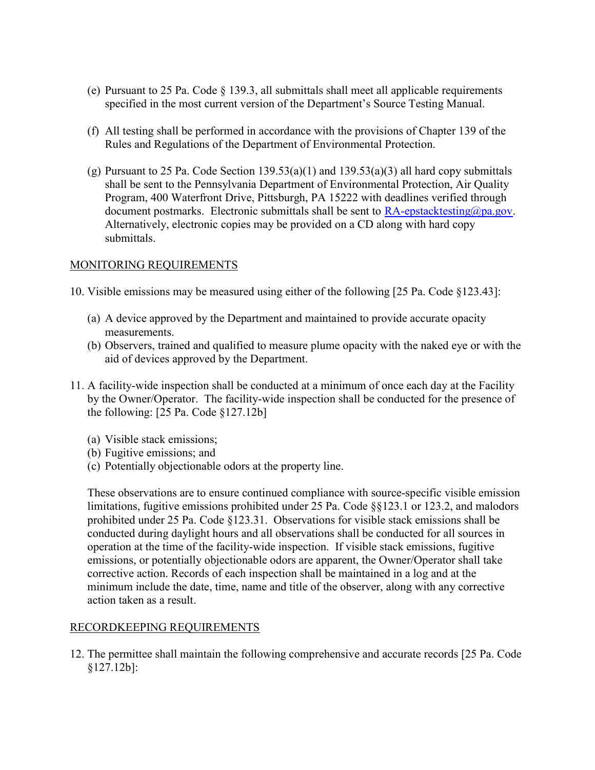- (e) Pursuant to 25 Pa. Code § 139.3, all submittals shall meet all applicable requirements specified in the most current version of the Department's Source Testing Manual.
- (f) All testing shall be performed in accordance with the provisions of Chapter 139 of the Rules and Regulations of the Department of Environmental Protection.
- (g) Pursuant to 25 Pa. Code Section  $139.53(a)(1)$  and  $139.53(a)(3)$  all hard copy submittals shall be sent to the Pennsylvania Department of Environmental Protection, Air Quality Program, 400 Waterfront Drive, Pittsburgh, PA 15222 with deadlines verified through document postmarks. Electronic submittals shall be sent to  $RA$ -epstacktesting@pa.gov. Alternatively, electronic copies may be provided on a CD along with hard copy submittals.

# MONITORING REQUIREMENTS

- 10. Visible emissions may be measured using either of the following [25 Pa. Code §123.43]:
	- (a) A device approved by the Department and maintained to provide accurate opacity measurements.
	- (b) Observers, trained and qualified to measure plume opacity with the naked eye or with the aid of devices approved by the Department.
- 11. A facility-wide inspection shall be conducted at a minimum of once each day at the Facility by the Owner/Operator. The facility-wide inspection shall be conducted for the presence of the following: [25 Pa. Code §127.12b]
	- (a) Visible stack emissions;
	- (b) Fugitive emissions; and
	- (c) Potentially objectionable odors at the property line.

These observations are to ensure continued compliance with source-specific visible emission limitations, fugitive emissions prohibited under 25 Pa. Code §§123.1 or 123.2, and malodors prohibited under 25 Pa. Code §123.31. Observations for visible stack emissions shall be conducted during daylight hours and all observations shall be conducted for all sources in operation at the time of the facility-wide inspection. If visible stack emissions, fugitive emissions, or potentially objectionable odors are apparent, the Owner/Operator shall take corrective action. Records of each inspection shall be maintained in a log and at the minimum include the date, time, name and title of the observer, along with any corrective action taken as a result.

# RECORDKEEPING REQUIREMENTS

12. The permittee shall maintain the following comprehensive and accurate records [25 Pa. Code §127.12b]: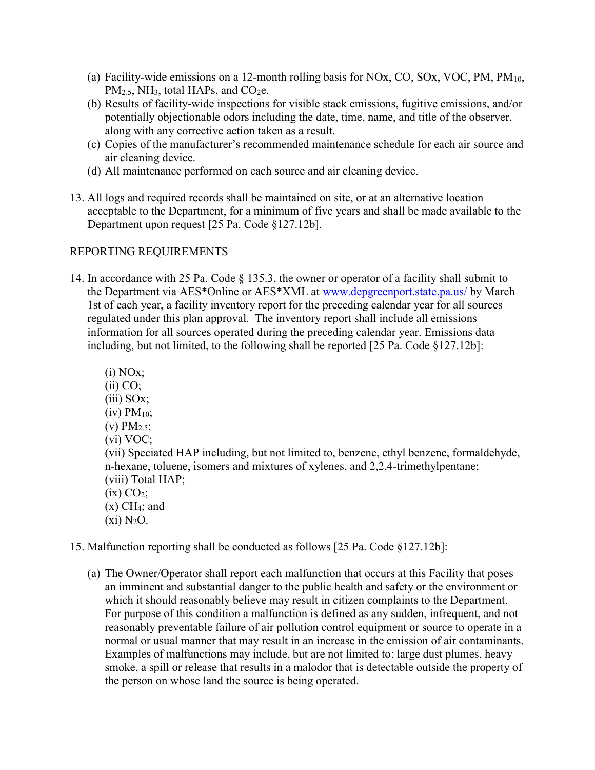- (a) Facility-wide emissions on a 12-month rolling basis for NOx, CO, SOx, VOC, PM,  $PM_{10}$ , PM<sub>2.5</sub>, NH<sub>3</sub>, total HAPs, and CO<sub>2</sub>e.
- (b) Results of facility-wide inspections for visible stack emissions, fugitive emissions, and/or potentially objectionable odors including the date, time, name, and title of the observer, along with any corrective action taken as a result.
- (c) Copies of the manufacturer's recommended maintenance schedule for each air source and air cleaning device.
- (d) All maintenance performed on each source and air cleaning device.
- 13. All logs and required records shall be maintained on site, or at an alternative location acceptable to the Department, for a minimum of five years and shall be made available to the Department upon request [25 Pa. Code §127.12b].

# REPORTING REQUIREMENTS

14. In accordance with 25 Pa. Code § 135.3, the owner or operator of a facility shall submit to the Department via AES\*Online or AES\*XML at www.depgreenport.state.pa.us/ by March 1st of each year, a facility inventory report for the preceding calendar year for all sources regulated under this plan approval. The inventory report shall include all emissions information for all sources operated during the preceding calendar year. Emissions data including, but not limited, to the following shall be reported [25 Pa. Code §127.12b]:

 $(i)$  NO<sub>x</sub>;  $(ii) CO;$ (iii) SOx;  $(iv)$  PM<sub>10</sub>;  $(v) PM_{2.5}$ ; (vi) VOC; (vii) Speciated HAP including, but not limited to, benzene, ethyl benzene, formaldehyde, n-hexane, toluene, isomers and mixtures of xylenes, and 2,2,4-trimethylpentane; (viii) Total HAP;  $(ix) CO<sub>2</sub>$ ;  $(x)$  CH<sub>4</sub>; and  $(x<sub>i</sub>)$  N<sub>2</sub>O.

15. Malfunction reporting shall be conducted as follows [25 Pa. Code §127.12b]:

(a) The Owner/Operator shall report each malfunction that occurs at this Facility that poses an imminent and substantial danger to the public health and safety or the environment or which it should reasonably believe may result in citizen complaints to the Department. For purpose of this condition a malfunction is defined as any sudden, infrequent, and not reasonably preventable failure of air pollution control equipment or source to operate in a normal or usual manner that may result in an increase in the emission of air contaminants. Examples of malfunctions may include, but are not limited to: large dust plumes, heavy smoke, a spill or release that results in a malodor that is detectable outside the property of the person on whose land the source is being operated.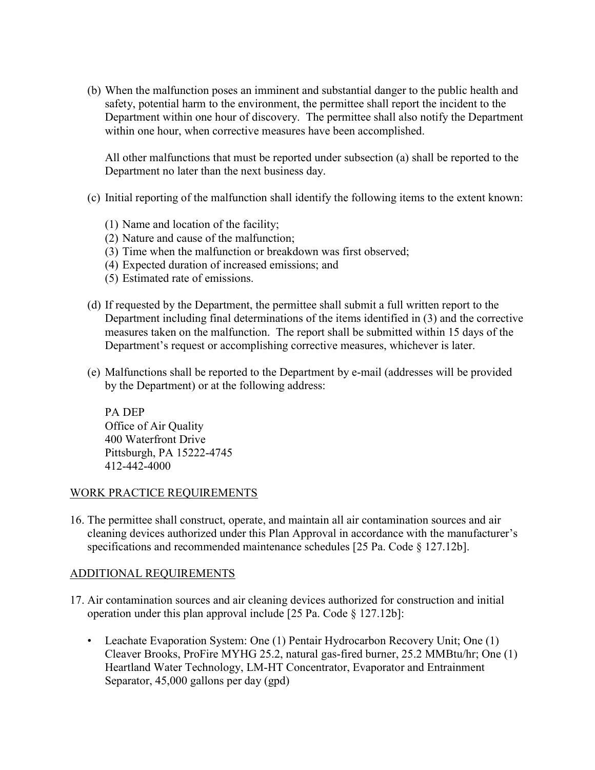(b) When the malfunction poses an imminent and substantial danger to the public health and safety, potential harm to the environment, the permittee shall report the incident to the Department within one hour of discovery. The permittee shall also notify the Department within one hour, when corrective measures have been accomplished.

All other malfunctions that must be reported under subsection (a) shall be reported to the Department no later than the next business day.

- (c) Initial reporting of the malfunction shall identify the following items to the extent known:
	- (1) Name and location of the facility;
	- (2) Nature and cause of the malfunction;
	- (3) Time when the malfunction or breakdown was first observed;
	- (4) Expected duration of increased emissions; and
	- (5) Estimated rate of emissions.
- (d) If requested by the Department, the permittee shall submit a full written report to the Department including final determinations of the items identified in (3) and the corrective measures taken on the malfunction. The report shall be submitted within 15 days of the Department's request or accomplishing corrective measures, whichever is later.
- (e) Malfunctions shall be reported to the Department by e-mail (addresses will be provided by the Department) or at the following address:

PA DEP Office of Air Quality 400 Waterfront Drive Pittsburgh, PA 15222-4745 412-442-4000

### WORK PRACTICE REQUIREMENTS

16. The permittee shall construct, operate, and maintain all air contamination sources and air cleaning devices authorized under this Plan Approval in accordance with the manufacturer's specifications and recommended maintenance schedules [25 Pa. Code § 127.12b].

### ADDITIONAL REQUIREMENTS

- 17. Air contamination sources and air cleaning devices authorized for construction and initial operation under this plan approval include [25 Pa. Code § 127.12b]:
	- Leachate Evaporation System: One (1) Pentair Hydrocarbon Recovery Unit; One (1) Cleaver Brooks, ProFire MYHG 25.2, natural gas-fired burner, 25.2 MMBtu/hr; One (1) Heartland Water Technology, LM-HT Concentrator, Evaporator and Entrainment Separator, 45,000 gallons per day (gpd)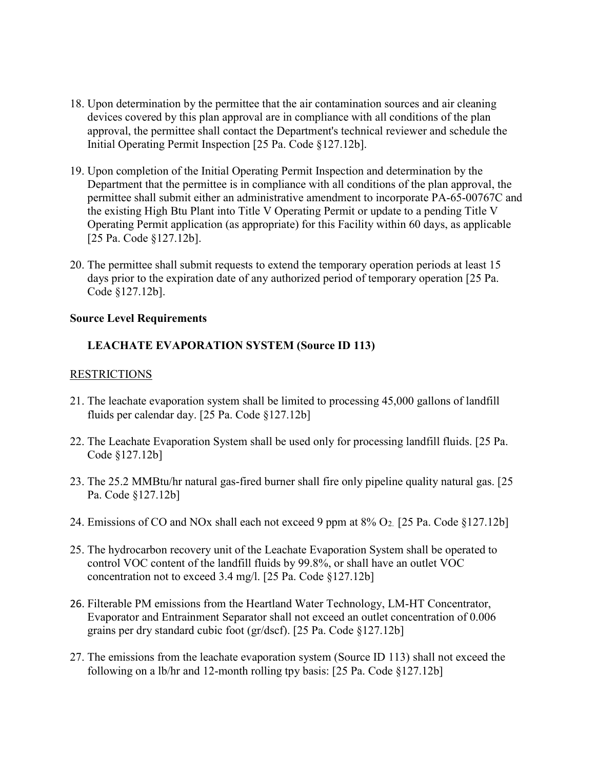- 18. Upon determination by the permittee that the air contamination sources and air cleaning devices covered by this plan approval are in compliance with all conditions of the plan approval, the permittee shall contact the Department's technical reviewer and schedule the Initial Operating Permit Inspection [25 Pa. Code §127.12b].
- 19. Upon completion of the Initial Operating Permit Inspection and determination by the Department that the permittee is in compliance with all conditions of the plan approval, the permittee shall submit either an administrative amendment to incorporate PA-65-00767C and the existing High Btu Plant into Title V Operating Permit or update to a pending Title V Operating Permit application (as appropriate) for this Facility within 60 days, as applicable [25 Pa. Code §127.12b].
- 20. The permittee shall submit requests to extend the temporary operation periods at least 15 days prior to the expiration date of any authorized period of temporary operation [25 Pa. Code §127.12b].

### Source Level Requirements

# LEACHATE EVAPORATION SYSTEM (Source ID 113)

### RESTRICTIONS

- 21. The leachate evaporation system shall be limited to processing 45,000 gallons of landfill fluids per calendar day. [25 Pa. Code §127.12b]
- 22. The Leachate Evaporation System shall be used only for processing landfill fluids. [25 Pa. Code §127.12b]
- 23. The 25.2 MMBtu/hr natural gas-fired burner shall fire only pipeline quality natural gas. [25 Pa. Code §127.12b]
- 24. Emissions of CO and NOx shall each not exceed 9 ppm at 8% O<sub>2.</sub> [25 Pa. Code §127.12b]
- 25. The hydrocarbon recovery unit of the Leachate Evaporation System shall be operated to control VOC content of the landfill fluids by 99.8%, or shall have an outlet VOC concentration not to exceed 3.4 mg/l. [25 Pa. Code §127.12b]
- 26. Filterable PM emissions from the Heartland Water Technology, LM-HT Concentrator, Evaporator and Entrainment Separator shall not exceed an outlet concentration of 0.006 grains per dry standard cubic foot (gr/dscf). [25 Pa. Code §127.12b]
- 27. The emissions from the leachate evaporation system (Source ID 113) shall not exceed the following on a lb/hr and 12-month rolling tpy basis: [25 Pa. Code §127.12b]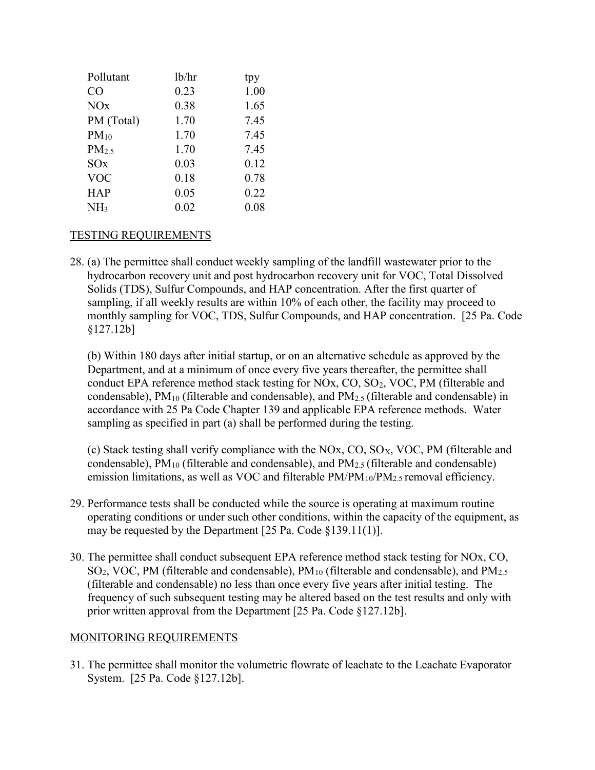| lb/hr | tpy  |
|-------|------|
| 0.23  | 1.00 |
| 0.38  | 1.65 |
| 1.70  | 7.45 |
| 1.70  | 7.45 |
| 1.70  | 7.45 |
| 0.03  | 0.12 |
| 0.18  | 0.78 |
| 0.05  | 0.22 |
| 0.02  | 0.08 |
|       |      |

### TESTING REQUIREMENTS

28. (a) The permittee shall conduct weekly sampling of the landfill wastewater prior to the hydrocarbon recovery unit and post hydrocarbon recovery unit for VOC, Total Dissolved Solids (TDS), Sulfur Compounds, and HAP concentration. After the first quarter of sampling, if all weekly results are within 10% of each other, the facility may proceed to monthly sampling for VOC, TDS, Sulfur Compounds, and HAP concentration. [25 Pa. Code §127.12b]

(b) Within 180 days after initial startup, or on an alternative schedule as approved by the Department, and at a minimum of once every five years thereafter, the permittee shall conduct EPA reference method stack testing for NOx, CO, SO<sub>2</sub>, VOC, PM (filterable and condensable),  $PM_{10}$  (filterable and condensable), and  $PM_{2.5}$  (filterable and condensable) in accordance with 25 Pa Code Chapter 139 and applicable EPA reference methods. Water sampling as specified in part (a) shall be performed during the testing.

(c) Stack testing shall verify compliance with the NOx, CO,  $SO<sub>X</sub>$ , VOC, PM (filterable and condensable),  $PM_{10}$  (filterable and condensable), and  $PM_{2.5}$  (filterable and condensable) emission limitations, as well as VOC and filterable  $PM/PM_{10}/PM_{2.5}$  removal efficiency.

- 29. Performance tests shall be conducted while the source is operating at maximum routine operating conditions or under such other conditions, within the capacity of the equipment, as may be requested by the Department [25 Pa. Code §139.11(1)].
- 30. The permittee shall conduct subsequent EPA reference method stack testing for NOx, CO,  $SO<sub>2</sub>$ , VOC, PM (filterable and condensable), PM<sub>10</sub> (filterable and condensable), and PM<sub>2.5</sub> (filterable and condensable) no less than once every five years after initial testing. The frequency of such subsequent testing may be altered based on the test results and only with prior written approval from the Department [25 Pa. Code §127.12b].

### MONITORING REQUIREMENTS

31. The permittee shall monitor the volumetric flowrate of leachate to the Leachate Evaporator System. [25 Pa. Code §127.12b].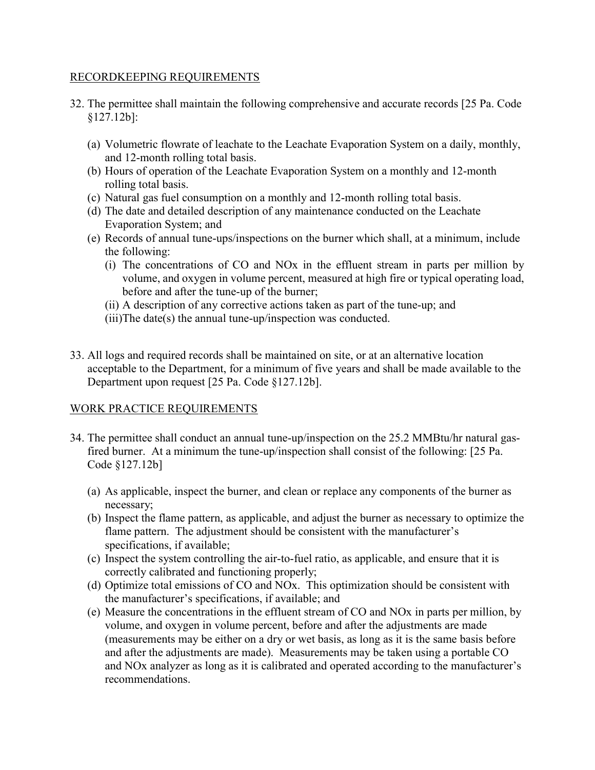### RECORDKEEPING REQUIREMENTS

- 32. The permittee shall maintain the following comprehensive and accurate records [25 Pa. Code §127.12b]:
	- (a) Volumetric flowrate of leachate to the Leachate Evaporation System on a daily, monthly, and 12-month rolling total basis.
	- (b) Hours of operation of the Leachate Evaporation System on a monthly and 12-month rolling total basis.
	- (c) Natural gas fuel consumption on a monthly and 12-month rolling total basis.
	- (d) The date and detailed description of any maintenance conducted on the Leachate Evaporation System; and
	- (e) Records of annual tune-ups/inspections on the burner which shall, at a minimum, include the following:
		- (i) The concentrations of CO and NOx in the effluent stream in parts per million by volume, and oxygen in volume percent, measured at high fire or typical operating load, before and after the tune-up of the burner;
		- (ii) A description of any corrective actions taken as part of the tune-up; and
		- (iii)The date(s) the annual tune-up/inspection was conducted.
- 33. All logs and required records shall be maintained on site, or at an alternative location acceptable to the Department, for a minimum of five years and shall be made available to the Department upon request [25 Pa. Code §127.12b].

# WORK PRACTICE REQUIREMENTS

- 34. The permittee shall conduct an annual tune-up/inspection on the 25.2 MMBtu/hr natural gasfired burner. At a minimum the tune-up/inspection shall consist of the following: [25 Pa. Code §127.12b]
	- (a) As applicable, inspect the burner, and clean or replace any components of the burner as necessary;
	- (b) Inspect the flame pattern, as applicable, and adjust the burner as necessary to optimize the flame pattern. The adjustment should be consistent with the manufacturer's specifications, if available;
	- (c) Inspect the system controlling the air-to-fuel ratio, as applicable, and ensure that it is correctly calibrated and functioning properly;
	- (d) Optimize total emissions of CO and NOx. This optimization should be consistent with the manufacturer's specifications, if available; and
	- (e) Measure the concentrations in the effluent stream of CO and NOx in parts per million, by volume, and oxygen in volume percent, before and after the adjustments are made (measurements may be either on a dry or wet basis, as long as it is the same basis before and after the adjustments are made). Measurements may be taken using a portable CO and NOx analyzer as long as it is calibrated and operated according to the manufacturer's recommendations.